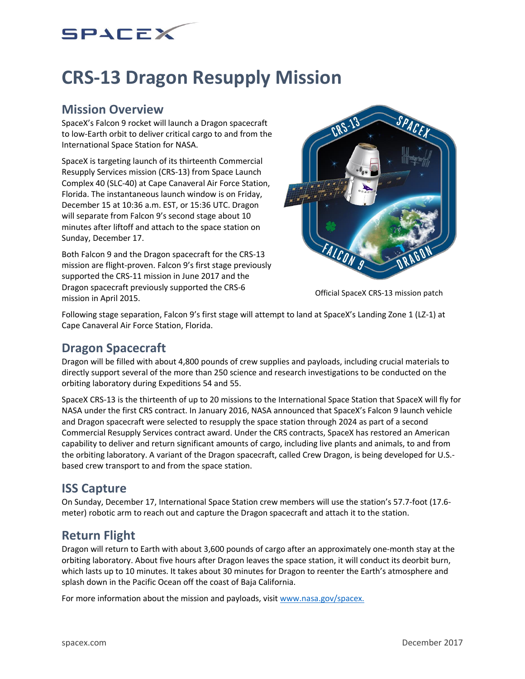## SPACEX

# **CRS-13 Dragon Resupply Mission**

#### **Mission Overview**

SpaceX's Falcon 9 rocket will launch a Dragon spacecraft to low-Earth orbit to deliver critical cargo to and from the International Space Station for NASA.

SpaceX is targeting launch of its thirteenth Commercial Resupply Services mission (CRS-13) from Space Launch Complex 40 (SLC-40) at Cape Canaveral Air Force Station, Florida. The instantaneous launch window is on Friday, December 15 at 10:36 a.m. EST, or 15:36 UTC. Dragon will separate from Falcon 9's second stage about 10 minutes after liftoff and attach to the space station on Sunday, December 17.

Both Falcon 9 and the Dragon spacecraft for the CRS-13 mission are flight-proven. Falcon 9's first stage previously supported the CRS-11 mission in June 2017 and the Dragon spacecraft previously supported the CRS-6 mission in April 2015.



Official SpaceX CRS-13 mission patch

Following stage separation, Falcon 9's first stage will attempt to land at SpaceX's Landing Zone 1 (LZ-1) at Cape Canaveral Air Force Station, Florida.

## **Dragon Spacecraft**

Dragon will be filled with about 4,800 pounds of crew supplies and payloads, including crucial materials to directly support several of the more than 250 science and research investigations to be conducted on the orbiting laboratory during Expeditions 54 and 55.

SpaceX CRS-13 is the thirteenth of up to 20 missions to the International Space Station that SpaceX will fly for NASA under the first CRS contract. In January 2016, NASA announced that SpaceX's Falcon 9 launch vehicle and Dragon spacecraft were selected to resupply the space station through 2024 as part of a second Commercial Resupply Services contract award. Under the CRS contracts, SpaceX has restored an American capability to deliver and return significant amounts of cargo, including live plants and animals, to and from the orbiting laboratory. A variant of the Dragon spacecraft, called Crew Dragon, is being developed for U.S. based crew transport to and from the space station.

## **ISS Capture**

On Sunday, December 17, International Space Station crew members will use the station's 57.7-foot (17.6 meter) robotic arm to reach out and capture the Dragon spacecraft and attach it to the station.

## **Return Flight**

Dragon will return to Earth with about 3,600 pounds of cargo after an approximately one-month stay at the orbiting laboratory. About five hours after Dragon leaves the space station, it will conduct its deorbit burn, which lasts up to 10 minutes. It takes about 30 minutes for Dragon to reenter the Earth's atmosphere and splash down in the Pacific Ocean off the coast of Baja California.

For more information about the mission and payloads, visi[t www.nasa.gov/spacex.](http://www.nasa.gov/spacex)